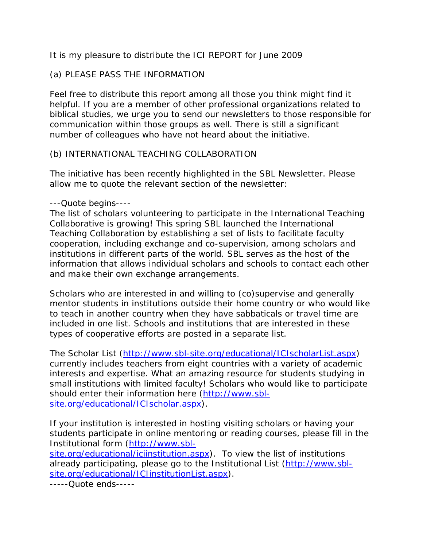It is my pleasure to distribute the ICI REPORT for June 2009

## (a) PLEASE PASS THE INFORMATION

Feel free to distribute this report among all those you think might find it helpful. If you are a member of other professional organizations related to biblical studies, we urge you to send our newsletters to those responsible for communication within those groups as well. There is still a significant number of colleagues who have not heard about the initiative.

## (b) INTERNATIONAL TEACHING COLLABORATION

The initiative has been recently highlighted in the SBL Newsletter. Please allow me to quote the relevant section of the newsletter:

### ---Quote begins----

The list of scholars volunteering to participate in the International Teaching Collaborative is growing! This spring SBL launched the International Teaching Collaboration by establishing a set of lists to facilitate faculty cooperation, including exchange and co-supervision, among scholars and institutions in different parts of the world. SBL serves as the host of the information that allows individual scholars and schools to contact each other and make their own exchange arrangements.

Scholars who are interested in and willing to (co)supervise and generally mentor students in institutions outside their home country or who would like to teach in another country when they have sabbaticals or travel time are included in one list. Schools and institutions that are interested in these types of cooperative efforts are posted in a separate list.

The Scholar List [\(http://www.sbl-site.org/educational/ICIscholarList.aspx\)](http://www.sbl-site.org/educational/ICIscholarList.aspx) currently includes teachers from eight countries with a variety of academic interests and expertise. What an amazing resource for students studying in small institutions with limited faculty! Scholars who would like to participate should enter their information here [\(http://www.sbl](http://www.sbl-site.org/educational/ICIscholar.aspx)[site.org/educational/ICIscholar.aspx\)](http://www.sbl-site.org/educational/ICIscholar.aspx).

If your institution is interested in hosting visiting scholars or having your students participate in online mentoring or reading courses, please fill in the Institutional form [\(http://www.sbl-](http://www.sbl-site.org/educational/iciinstitution.aspx)

[site.org/educational/iciinstitution.aspx\)](http://www.sbl-site.org/educational/iciinstitution.aspx). To view the list of institutions already participating, please go to the Institutional List [\(http://www.sbl](http://www.sbl-site.org/educational/ICIinstitutionList.aspx)[site.org/educational/ICIinstitutionList.aspx\)](http://www.sbl-site.org/educational/ICIinstitutionList.aspx).

-----Quote ends-----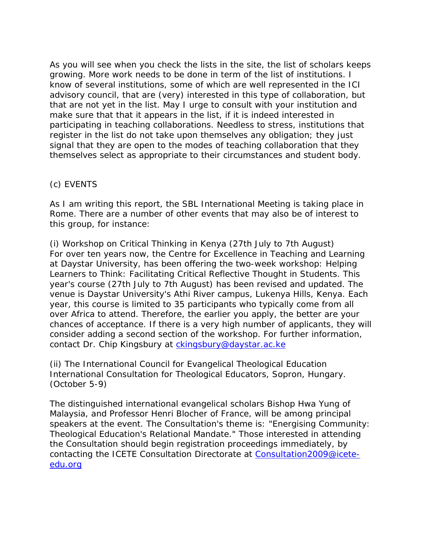As you will see when you check the lists in the site, the list of scholars keeps growing. More work needs to be done in term of the list of institutions. I know of several institutions, some of which are well represented in the ICI advisory council, that are (very) interested in this type of collaboration, but that are not yet in the list. May I urge to consult with your institution and make sure that that it appears in the list, if it is indeed interested in participating in teaching collaborations. Needless to stress, institutions that register in the list do not take upon themselves any obligation; they just signal that they are open to the modes of teaching collaboration that they themselves select as appropriate to their circumstances and student body.

# (c) EVENTS

As I am writing this report, the SBL International Meeting is taking place in Rome. There are a number of other events that may also be of interest to this group, for instance:

(i) Workshop on Critical Thinking in Kenya (27th July to 7th August) For over ten years now, the Centre for Excellence in Teaching and Learning at Daystar University, has been offering the two-week workshop: Helping Learners to Think: Facilitating Critical Reflective Thought in Students. This year's course (27th July to 7th August) has been revised and updated. The venue is Daystar University's Athi River campus, Lukenya Hills, Kenya. Each year, this course is limited to 35 participants who typically come from all over Africa to attend. Therefore, the earlier you apply, the better are your chances of acceptance. If there is a very high number of applicants, they will consider adding a second section of the workshop. For further information, contact Dr. Chip Kingsbury at [ckingsbury@daystar.ac.ke](mailto:ckingsbury@daystar.ac.ke)

(ii) The International Council for Evangelical Theological Education International Consultation for Theological Educators, Sopron, Hungary. (October 5-9)

The distinguished international evangelical scholars Bishop Hwa Yung of Malaysia, and Professor Henri Blocher of France, will be among principal speakers at the event. The Consultation's theme is: "Energising Community: Theological Education's Relational Mandate." Those interested in attending the Consultation should begin registration proceedings immediately, by contacting the ICETE Consultation Directorate at [Consultation2009@icete](mailto:Consultation2009@icete-edu.org)[edu.org](mailto:Consultation2009@icete-edu.org)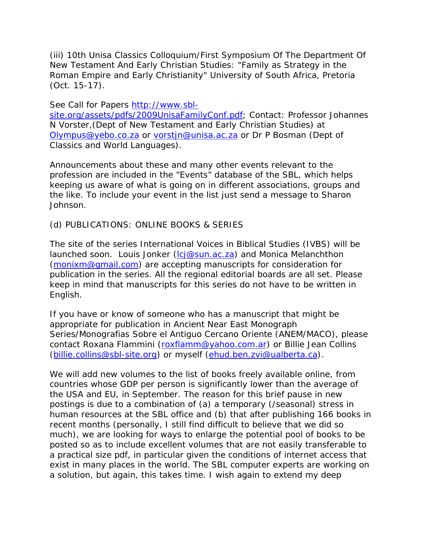(iii) 10th Unisa Classics Colloquium/First Symposium Of The Department Of New Testament And Early Christian Studies: "Family as Strategy in the Roman Empire and Early Christianity" University of South Africa, Pretoria (Oct. 15-17).

See Call for Papers [http://www.sbl-](http://www.sbl-site.org/assets/pdfs/2009UnisaFamilyConf.pdf)

[site.org/assets/pdfs/2009UnisaFamilyConf.pdf;](http://www.sbl-site.org/assets/pdfs/2009UnisaFamilyConf.pdf) Contact: Professor Johannes N Vorster,(Dept of New Testament and Early Christian Studies) at [Olympus@yebo.co.za](mailto:Olympus@yebo.co.za) or [vorstjn@unisa.ac.za](mailto:vorstjn@unisa.ac.za) or Dr P Bosman (Dept of Classics and World Languages).

Announcements about these and many other events relevant to the profession are included in the "Events" database of the SBL, which helps keeping us aware of what is going on in different associations, groups and the like. To include your event in the list just send a message to Sharon Johnson.

### (d) PUBLICATIONS: ONLINE BOOKS & SERIES

The site of the series International Voices in Biblical Studies (IVBS) will be launched soon. Louis Jonker [\(lcj@sun.ac.za\)](mailto:lcj@sun.ac.za) and Monica Melanchthon [\(monixm@gmail.com\)](mailto:monixm@gmail.com) are accepting manuscripts for consideration for publication in the series. All the regional editorial boards are all set. Please keep in mind that manuscripts for this series do not have to be written in English.

If you have or know of someone who has a manuscript that might be appropriate for publication in Ancient Near East Monograph Series/Monografias Sobre el Antiguo Cercano Oriente (ANEM/MACO), please contact Roxana Flammini [\(roxflamm@yahoo.com.ar\)](mailto:roxflamm@yahoo.com.ar) or Billie Jean Collins [\(billie.collins@sbl-site.org\)](mailto:billie.collins@sbl-site.org) or myself [\(ehud.ben.zvi@ualberta.ca\)](mailto:ehud.ben.zvi@ualberta.ca).

We will add new volumes to the list of books freely available online, from countries whose GDP per person is significantly lower than the average of the USA and EU, in September. The reason for this brief pause in new postings is due to a combination of (a) a temporary (/seasonal) stress in human resources at the SBL office and (b) that after publishing 166 books in recent months (personally, I still find difficult to believe that we did so much), we are looking for ways to enlarge the potential pool of books to be posted so as to include excellent volumes that are not easily transferable to a practical size pdf, in particular given the conditions of internet access that exist in many places in the world. The SBL computer experts are working on a solution, but again, this takes time. I wish again to extend my deep